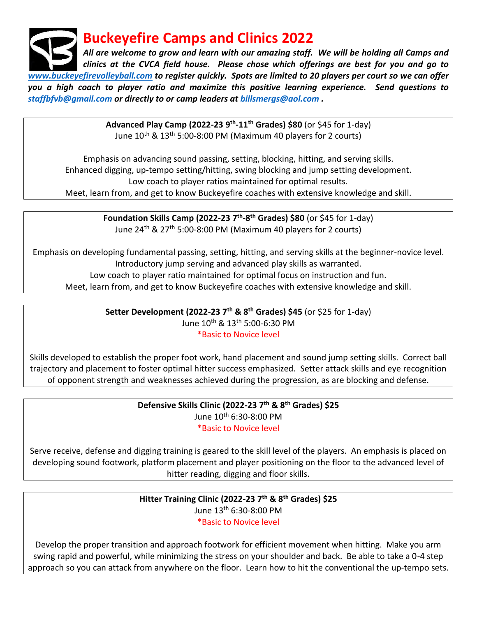**Buckeyefire Camps and Clinics 2022**

*All are welcome to grow and learn with our amazing staff. We will be holding all Camps and clinics at the CVCA field house. Please chose which offerings are best for you and go to [www.buckeyefirevolleyball.com](http://www.buckeyefirevolleyball.com/) to register quickly. Spots are limited to 20 players per court so we can offer you a high coach to player ratio and maximize this positive learning experience. Send questions to [staffbfvb@gmail.com](mailto:staffbfvb@gmail.com) or directly to or camp leaders at [billsmergs@aol.com](mailto:billsmergs@aol.com) .* 

> **Advanced Play Camp (2022-23 9th -11th Grades) \$80** (or \$45 for 1-day) June  $10^{th}$  &  $13^{th}$  5:00-8:00 PM (Maximum 40 players for 2 courts)

Emphasis on advancing sound passing, setting, blocking, hitting, and serving skills. Enhanced digging, up-tempo setting/hitting, swing blocking and jump setting development. Low coach to player ratios maintained for optimal results. Meet, learn from, and get to know Buckeyefire coaches with extensive knowledge and skill.

> **Foundation Skills Camp (2022-23 7th -8 th Grades) \$80** (or \$45 for 1-day) June  $24<sup>th</sup>$  &  $27<sup>th</sup>$  5:00-8:00 PM (Maximum 40 players for 2 courts)

Emphasis on developing fundamental passing, setting, hitting, and serving skills at the beginner-novice level. Introductory jump serving and advanced play skills as warranted. Low coach to player ratio maintained for optimal focus on instruction and fun.

Meet, learn from, and get to know Buckeyefire coaches with extensive knowledge and skill.

**Setter Development (2022-23 7th & 8th Grades) \$45** (or \$25 for 1-day) June 10th & 13th 5:00-6:30 PM

#### \*Basic to Novice level

Skills developed to establish the proper foot work, hand placement and sound jump setting skills. Correct ball trajectory and placement to foster optimal hitter success emphasized. Setter attack skills and eye recognition of opponent strength and weaknesses achieved during the progression, as are blocking and defense.

> **Defensive Skills Clinic (2022-23 7th & 8th Grades) \$25** June 10th 6:30-8:00 PM

> > \*Basic to Novice level

Serve receive, defense and digging training is geared to the skill level of the players. An emphasis is placed on developing sound footwork, platform placement and player positioning on the floor to the advanced level of hitter reading, digging and floor skills.

## **Hitter Training Clinic (2022-23 7th & 8th Grades) \$25** June 13th 6:30-8:00 PM \*Basic to Novice level

Develop the proper transition and approach footwork for efficient movement when hitting. Make you arm swing rapid and powerful, while minimizing the stress on your shoulder and back. Be able to take a 0-4 step approach so you can attack from anywhere on the floor. Learn how to hit the conventional the up-tempo sets.